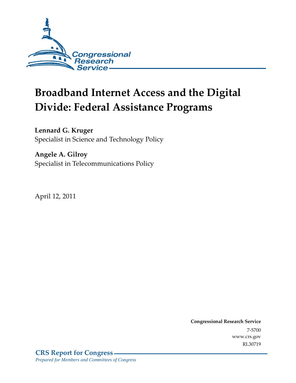

# **Broadband Internet Access and the Digital Divide: Federal Assistance Programs**

### **Lennard G. Kruger**

Specialist in Science and Technology Policy

### **Angele A. Gilroy**

Specialist in Telecommunications Policy

April 12, 2011

**Congressional Research Service** 7-5700 www.crs.gov RL30719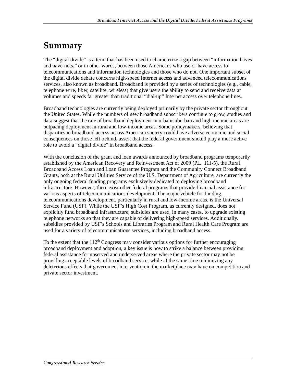## **Summary**

The "digital divide" is a term that has been used to characterize a gap between "information haves and have-nots," or in other words, between those Americans who use or have access to telecommunications and information technologies and those who do not. One important subset of the digital divide debate concerns high-speed Internet access and advanced telecommunications services, also known as broadband. Broadband is provided by a series of technologies (e.g., cable, telephone wire, fiber, satellite, wireless) that give users the ability to send and receive data at volumes and speeds far greater than traditional "dial-up" Internet access over telephone lines.

Broadband technologies are currently being deployed primarily by the private sector throughout the United States. While the numbers of new broadband subscribers continue to grow, studies and data suggest that the rate of broadband deployment in urban/suburban and high income areas are outpacing deployment in rural and low-income areas. Some policymakers, believing that disparities in broadband access across American society could have adverse economic and social consequences on those left behind, assert that the federal government should play a more active role to avoid a "digital divide" in broadband access.

With the conclusion of the grant and loan awards announced by broadband programs temporarily established by the American Recovery and Reinvestment Act of 2009 (P.L. 111-5), the Rural Broadband Access Loan and Loan Guarantee Program and the Community Connect Broadband Grants, both at the Rural Utilities Service of the U.S. Department of Agriculture, are currently the only ongoing federal funding programs exclusively dedicated to deploying broadband infrastructure. However, there exist other federal programs that provide financial assistance for various aspects of telecommunications development. The major vehicle for funding telecommunications development, particularly in rural and low-income areas, is the Universal Service Fund (USF). While the USF's High Cost Program, as currently designed, does not explicitly fund broadband infrastructure, subsidies are used, in many cases, to upgrade existing telephone networks so that they are capable of delivering high-speed services. Additionally, subsidies provided by USF's Schools and Libraries Program and Rural Health Care Program are used for a variety of telecommunications services, including broadband access.

To the extent that the  $112<sup>th</sup>$  Congress may consider various options for further encouraging broadband deployment and adoption, a key issue is how to strike a balance between providing federal assistance for unserved and underserved areas where the private sector may not be providing acceptable levels of broadband service, while at the same time minimizing any deleterious effects that government intervention in the marketplace may have on competition and private sector investment.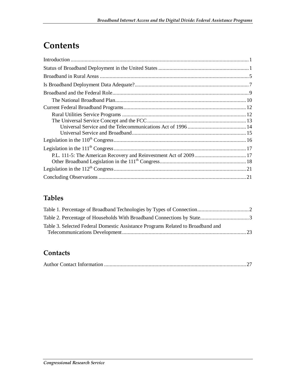## **Contents**

### **Tables**

| Table 3. Selected Federal Domestic Assistance Programs Related to Broadband and |  |
|---------------------------------------------------------------------------------|--|
|                                                                                 |  |

#### **Contacts**

|--|--|--|--|--|--|--|--|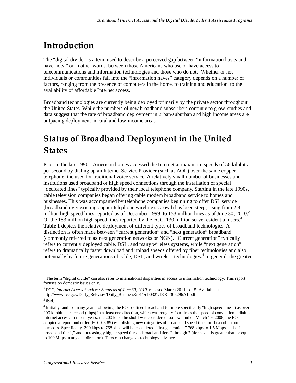## **Introduction**

The "digital divide" is a term used to describe a perceived gap between "information haves and have-nots," or in other words, between those Americans who use or have access to telecommunications and information technologies and those who do not.<sup>1</sup> Whether or not individuals or communities fall into the "information haves" category depends on a number of factors, ranging from the presence of computers in the home, to training and education, to the availability of affordable Internet access.

Broadband technologies are currently being deployed primarily by the private sector throughout the United States. While the numbers of new broadband subscribers continue to grow, studies and data suggest that the rate of broadband deployment in urban/suburban and high income areas are outpacing deployment in rural and low-income areas.

## **Status of Broadband Deployment in the United States**

Prior to the late 1990s, American homes accessed the Internet at maximum speeds of 56 kilobits per second by dialing up an Internet Service Provider (such as AOL) over the same copper telephone line used for traditional voice service. A relatively small number of businesses and institutions used broadband or high speed connections through the installation of special "dedicated lines" typically provided by their local telephone company. Starting in the late 1990s, cable television companies began offering cable modem broadband service to homes and businesses. This was accompanied by telephone companies beginning to offer DSL service (broadband over existing copper telephone wireline). Growth has been steep, rising from 2.8 million high speed lines reported as of December 1999, to 153 million lines as of June 30, 2010.<sup>2</sup> Of the 153 million high speed lines reported by the FCC, 130 million serve residential users.<sup>3</sup> **Table 1** depicts the relative deployment of different types of broadband technologies. A distinction is often made between "current generation" and "next generation" broadband (commonly referred to as next generation networks or NGN). "Current generation" typically refers to currently deployed cable, DSL, and many wireless systems, while "next generation" refers to dramatically faster download and upload speeds offered by fiber technologies and also potentially by future generations of cable, DSL, and wireless technologies.<sup>4</sup> In general, the greater

<sup>&</sup>lt;sup>1</sup> The term "digital divide" can also refer to international disparities in access to information technology. This report focuses on domestic issues only.

<sup>2</sup> FCC, *Internet Access Services: Status as of June 30, 2010*, released March 2011, p. 15. Available at http://www.fcc.gov/Daily\_Releases/Daily\_Business/2011/db0321/DOC-305296A1.pdf.

 $3$  Ibid.

<sup>&</sup>lt;sup>4</sup> Initially, and for many years following, the FCC defined broadband (or more specifically "high-speed lines") as over 200 kilobits per second (kbps) in at least one direction, which was roughly four times the speed of conventional dialup Internet access. In recent years, the 200 kbps threshold was considered too low, and on March 19, 2008, the FCC adopted a report and order (FCC 08-89) establishing new categories of broadband speed tiers for data collection purposes. Specifically, 200 kbps to 768 kbps will be considered "first generation," 768 kbps to 1.5 Mbps as "basic broadband tier 1," and increasingly higher speed tiers as broadband tiers 2 through 7 (tier seven is greater than or equal to 100 Mbps in any one direction). Tiers can change as technology advances.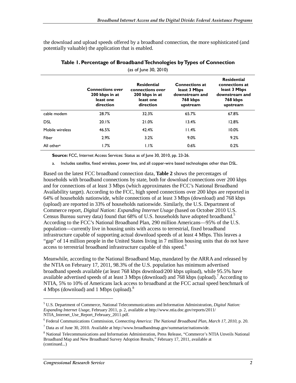the download and upload speeds offered by a broadband connection, the more sophisticated (and potentially valuable) the application that is enabled.

|                        |                                                                     | (as of June 30, 2010)                                                              |                                                                                 |                                                                                                |
|------------------------|---------------------------------------------------------------------|------------------------------------------------------------------------------------|---------------------------------------------------------------------------------|------------------------------------------------------------------------------------------------|
|                        | <b>Connections over</b><br>200 kbps in at<br>least one<br>direction | <b>Residential</b><br>connections over<br>200 kbps in at<br>least one<br>direction | <b>Connections at</b><br>least 3 Mbps<br>downstream and<br>768 kbps<br>upstream | <b>Residential</b><br>connections at<br>least 3 Mbps<br>downstream and<br>768 kbps<br>upstream |
| cable modem            | 28.7%                                                               | 32.3%                                                                              | 65.7%                                                                           | 67.8%                                                                                          |
| <b>DSL</b>             | 20.1%                                                               | 21.0%                                                                              | 13.4%                                                                           | 12.8%                                                                                          |
| Mobile wireless        | 46.5%                                                               | 42.4%                                                                              | 11.4%                                                                           | 10.0%                                                                                          |
| Fiber                  | 2.9%                                                                | 3.2%                                                                               | 9.0%                                                                            | 9.2%                                                                                           |
| All other <sup>a</sup> | 1.7%                                                                | 1.1%                                                                               | 0.6%                                                                            | 0.2%                                                                                           |

#### **Table 1. Percentage of Broadband Technologies by Types of Connection**

**Source:** FCC, Internet Access Services: Status as of June 30, 2010, pp. 23-26.

a. Includes satellite, fixed wireless, power line, and all copper-wire based technologies other than DSL.

Based on the latest FCC broadband connection data, **Table 2** shows the percentages of households with broadband connections by state, both for download connections over 200 kbps and for connections of at least 3 Mbps (which approximates the FCC's National Broadband Availability target). According to the FCC, high speed connections over 200 kbps are reported in 64% of households nationwide, while connections of at least 3 Mbps (download) and 768 kbps (upload) are reported in 33% of households nationwide. Similarly, the U.S. Department of Commerce report, *Digital Nation: Expanding Internet Usage* (based on October 2010 U.S. Census Bureau survey data) found that 68% of U.S. households have adopted broadband.<sup>5</sup> According to the FCC's National Broadband Plan, 290 million Americans—95% of the U.S. population—currently live in housing units with access to terrestrial, fixed broadband infrastructure capable of supporting actual download speeds of at least 4 Mbps. This leaves a "gap" of 14 million people in the United States living in 7 million housing units that do not have access to terrestrial broadband infrastructure capable of this speed.<sup>6</sup>

Meanwhile, according to the National Broadband Map, mandated by the ARRA and released by the NTIA on February 17, 2011, 98.3% of the U.S. population has minimum advertised broadband speeds available (at least 768 kbps download/200 kbps upload), while 95.5% have available advertised speeds of at least 3 Mbps (download) and  $768$  kbps (upload).<sup>7</sup> According to NTIA, 5% to 10% of Americans lack access to broadband at the FCC actual speed benchmark of 4 Mbps (download) and 1 Mbps (upload). $8$ 

<sup>5</sup> U.S. Department of Commerce, National Telecommunications and Information Administration, *Digital Nation: Expanding Internet Usage*, February 2011, p. 2, available at http://www.ntia.doc.gov/reports/2011/ NTIA\_Internet\_Use\_Report\_February\_2011.pdf.

<sup>6</sup> Federal Communications Commission, *Connecting America: The National Broadband Plan, March 17, 2010*, p. 20.

 $^7$  Data as of June 30, 2010. Available at http://www.broadbandmap.gov/summarize/nationwide.

<sup>&</sup>lt;sup>8</sup> National Telecommunications and Information Administration, Press Release, "Commerce's NTIA Unveils National Broadband Map and New Broadband Survey Adoption Results," February 17, 2011, available at (continued...)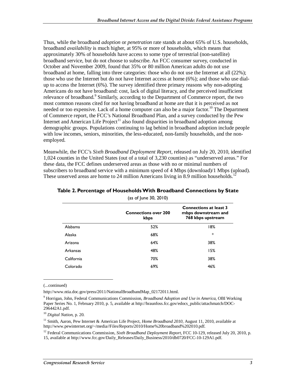Thus, while the broadband *adoption* or *penetration* rate stands at about 65% of U.S. households, broadband *availability* is much higher, at 95% or more of households, which means that approximately 30% of households have access to some type of terrestrial (non-satellite) broadband service, but do not choose to subscribe. An FCC consumer survey, conducted in October and November 2009, found that 35% or 80 million American adults do not use broadband at home, falling into three categories: those who do not use the Internet at all (22%); those who use the Internet but do not have Internet access at home (6%); and those who use dialup to access the Internet (6%). The survey identified three primary reasons why non-adopting Americans do not have broadband: cost, lack of digital literacy, and the perceived insufficient relevance of broadband.<sup>9</sup> Similarly, according to the Department of Commerce report, the two most common reasons cited for not having broadband at home are that it is perceived as not needed or too expensive. Lack of a home computer can also be a major factor.<sup>10</sup> The Department of Commerce report, the FCC's National Broadband Plan, and a survey conducted by the Pew Internet and American Life Project<sup>11</sup> also found disparities in broadband adoption among demographic groups. Populations continuing to lag behind in broadband adoption include people with low incomes, seniors, minorities, the less-educated, non-family households, and the nonemployed.

Meanwhile, the FCC's *Sixth Broadband Deployment Report*, released on July 20, 2010, identified 1,024 counties in the United States (out of a total of 3,230 counties) as "underserved areas." For these data, the FCC defines underserved areas as those with no or minimal numbers of subscribers to broadband service with a minimum speed of 4 Mbps (download)/1 Mbps (upload). These unserved areas are home to 24 million Americans living in 8.9 million households.<sup>1</sup>

|            | <b>Connections over 200</b><br>kbps | <b>Connections at least 3</b><br>mbps downstream and<br>768 kbps upstream |
|------------|-------------------------------------|---------------------------------------------------------------------------|
| Alabama    | 52%                                 | 18%                                                                       |
| Alaska     | 68%                                 | *                                                                         |
| Arizona    | 64%                                 | 38%                                                                       |
| Arkansas   | 48%                                 | 15%                                                                       |
| California | 70%                                 | 38%                                                                       |
| Colorado   | 69%                                 | 46%                                                                       |
|            |                                     |                                                                           |

#### **Table 2. Percentage of Households With Broadband Connections by State**  (as of June 30, 2010)

(...continued)

**.** 

http://www.ntia.doc.gov/press/2011/NationalBroadbandMap\_02172011.html.

9 Horrigan, John, Federal Communications Commission, *Broadband Adoption and Use in America*, OBI Working Paper Series No. 1, February 2010, p. 5, available at http://hraunfoss.fcc.gov/edocs\_public/attachmatch/DOC-296442A1.pdf.

<sup>10</sup> *Digital Nation*, p. 20.

<sup>11</sup> Smith, Aaron, Pew Internet & American Life Project, *Home Broadband 2010*, August 11, 2010, available at http://www.pewinternet.org/~/media//Files/Reports/2010/Home%20broadband%202010.pdf.

<sup>12</sup> Federal Communications Commission, *Sixth Broadband Deployment Report*, FCC 10-129, released July 20, 2010, p. 15, available at http://www.fcc.gov/Daily\_Releases/Daily\_Business/2010/db0720/FCC-10-129A1.pdf.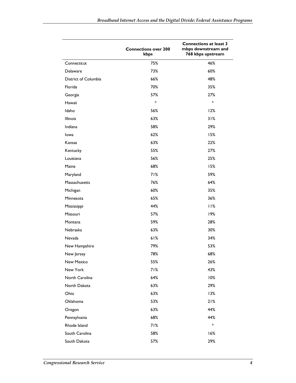|                      | <b>Connections over 200</b><br>kbps | <b>Connections at least 3</b><br>mbps downstream and<br>768 kbps upstream |
|----------------------|-------------------------------------|---------------------------------------------------------------------------|
| Connecticut          | 75%                                 | 46%                                                                       |
| Delaware             | 73%                                 | 60%                                                                       |
| District of Columbia | 66%                                 | 48%                                                                       |
| Florida              | 70%                                 | 35%                                                                       |
| Georgia              | 57%                                 | 27%                                                                       |
| Hawaii               | $\ast$                              | *                                                                         |
| Idaho                | 56%                                 | 12%                                                                       |
| Illinois             | 63%                                 | 31%                                                                       |
| Indiana              | 58%                                 | 29%                                                                       |
| lowa                 | 62%                                 | 15%                                                                       |
| Kansas               | 63%                                 | 22%                                                                       |
| Kentucky             | 55%                                 | 27%                                                                       |
| Louisiana            | 56%                                 | 25%                                                                       |
| Maine                | 68%                                 | 15%                                                                       |
| Maryland             | 71%                                 | 59%                                                                       |
| Massachusetts        | 76%                                 | 64%                                                                       |
| Michigan             | 60%                                 | 35%                                                                       |
| Minnesota            | 65%                                 | 36%                                                                       |
| Mississippi          | 44%                                 | 11%                                                                       |
| Missouri             | 57%                                 | 19%                                                                       |
| Montana              | 59%                                 | 28%                                                                       |
| Nebraska             | 63%                                 | 30%                                                                       |
| Nevada               | 61%                                 | 34%                                                                       |
| New Hampshire        | 79%                                 | 53%                                                                       |
| New Jersey           | 78%                                 | 68%                                                                       |
| New Mexico           | 55%                                 | 26%                                                                       |
| New York             | 71%                                 | 43%                                                                       |
| North Carolina       | 64%                                 | 10%                                                                       |
| North Dakota         | 63%                                 | 29%                                                                       |
| Ohio                 | 63%                                 | 13%                                                                       |
| Oklahoma             | 53%                                 | 21%                                                                       |
| Oregon               | 63%                                 | 44%                                                                       |
| Pennsylvania         | 68%                                 | 44%                                                                       |
| Rhode Island         | 71%                                 | *                                                                         |
| South Carolina       | 58%                                 | 16%                                                                       |
| South Dakota         | 57%                                 | 29%                                                                       |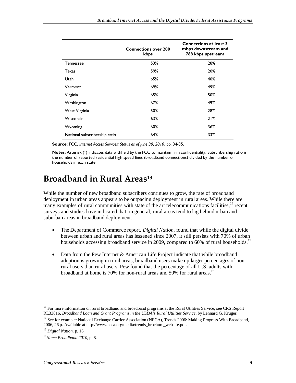|                               | <b>Connections over 200</b><br>kbps | <b>Connections at least 3</b><br>mbps downstream and<br>768 kbps upstream |
|-------------------------------|-------------------------------------|---------------------------------------------------------------------------|
| Tennessee                     | 53%                                 | 28%                                                                       |
| Texas                         | 59%                                 | 20%                                                                       |
| Utah                          | 65%                                 | 40%                                                                       |
| Vermont                       | 69%                                 | 49%                                                                       |
| Virginia                      | 65%                                 | 50%                                                                       |
| Washington                    | 67%                                 | 49%                                                                       |
| West Virginia                 | 50%                                 | 28%                                                                       |
| Wisconsin                     | 63%                                 | 21%                                                                       |
| Wyoming                       | 60%                                 | 36%                                                                       |
| National subscribership ratio | 64%                                 | 33%                                                                       |

**Source:** FCC, *Internet Access Services: Status as of June 30, 2010*, pp. 34-35.

**Notes:** Asterisk (\*) indicates data withheld by the FCC to maintain firm confidentiality. Subscribership ratio is the number of reported residential high speed lines (broadband connections) divided by the number of households in each state.

### **Broadband in Rural Areas13**

While the number of new broadband subscribers continues to grow, the rate of broadband deployment in urban areas appears to be outpacing deployment in rural areas. While there are many examples of rural communities with state of the art telecommunications facilities,<sup>14</sup> recent surveys and studies have indicated that, in general, rural areas tend to lag behind urban and suburban areas in broadband deployment.

- The Department of Commerce report, *Digital Nation*, found that while the digital divide between urban and rural areas has lessened since 2007, it still persists with 70% of urban households accessing broadband service in 2009, compared to 60% of rural households.<sup>15</sup>
- Data from the Pew Internet & American Life Project indicate that while broadband adoption is growing in rural areas, broadband users make up larger percentages of nonrural users than rural users. Pew found that the percentage of all U.S. adults with broadband at home is 70% for non-rural areas and 50% for rural areas.<sup>16</sup>

<sup>&</sup>lt;sup>13</sup> For more information on rural broadband and broadband programs at the Rural Utilities Service, see CRS Report RL33816, *Broadband Loan and Grant Programs in the USDA's Rural Utilities Service*, by Lennard G. Kruger.

<sup>&</sup>lt;sup>14</sup> See for example: National Exchange Carrier Association (NECA), Trends 2006: Making Progress With Broadband, 2006, 26 p. Available at http://www.neca.org/media/trends\_brochure\_website.pdf. 15 *Digital Nation*, p. 16.

<sup>16</sup>*Home Broadband 2010,* p. 8.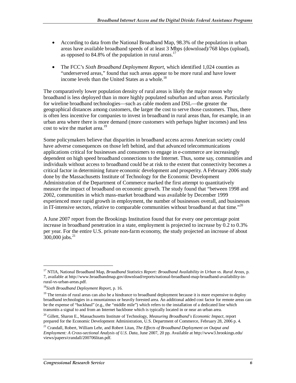- According to data from the National Broadband Map, 98.3% of the population in urban areas have available broadband speeds of at least 3 Mbps (download)/768 kbps (upload), as opposed to 84.8% of the population in rural areas.<sup>17</sup>
- The FCC's *Sixth Broadband Deployment Report*, which identified 1,024 counties as "underserved areas," found that such areas appear to be more rural and have lower income levels than the United States as a whole.<sup>18</sup>

The comparatively lower population density of rural areas is likely the major reason why broadband is less deployed than in more highly populated suburban and urban areas. Particularly for wireline broadband technologies—such as cable modem and DSL—the greater the geographical distances among customers, the larger the cost to serve those customers. Thus, there is often less incentive for companies to invest in broadband in rural areas than, for example, in an urban area where there is more demand (more customers with perhaps higher incomes) and less cost to wire the market area.<sup>19</sup>

Some policymakers believe that disparities in broadband access across American society could have adverse consequences on those left behind, and that advanced telecommunications applications critical for businesses and consumers to engage in e-commerce are increasingly dependent on high speed broadband connections to the Internet. Thus, some say, communities and individuals without access to broadband could be at risk to the extent that connectivity becomes a critical factor in determining future economic development and prosperity. A February 2006 study done by the Massachusetts Institute of Technology for the Economic Development Administration of the Department of Commerce marked the first attempt to quantitatively measure the impact of broadband on economic growth. The study found that "between 1998 and 2002, communities in which mass-market broadband was available by December 1999 experienced more rapid growth in employment, the number of businesses overall, and businesses in IT-intensive sectors, relative to comparable communities without broadband at that time." $^{20}$ 

A June 2007 report from the Brookings Institution found that for every one percentage point increase in broadband penetration in a state, employment is projected to increase by 0.2 to 0.3% per year. For the entire U.S. private non-farm economy, the study projected an increase of about  $300,000$  jobs.<sup>21</sup>

<sup>17</sup> NTIA, National Broadband Map*, Broadband Statistics Report: Broadband Availability in Urban vs. Rural Areas*, p. 7, available at http://www.broadbandmap.gov/download/reports/national-broadband-map-broadband-availability-inrural-vs-urban-areas.pdf.

<sup>18</sup>*Sixth Broadband Deployment Report*, p. 16.

<sup>&</sup>lt;sup>19</sup> The terrain of rural areas can also be a hindrance to broadband deployment because it is more expensive to deploy broadband technologies in a mountainous or heavily forested area. An additional added cost factor for remote areas can be the expense of "backhaul" (e.g., the "middle mile") which refers to the installation of a dedicated line which transmits a signal to and from an Internet backbone which is typically located in or near an urban area.

<sup>20</sup> Gillett, Sharon E., Massachusetts Institute of Technology, *Measuring Broadband's Economic Impact*, report prepared for the Economic Development Administration, U.S. Department of Commerce, February 28, 2006 p. 4.

<sup>21</sup> Crandall, Robert, William Lehr, and Robert Litan, *The Effects of Broadband Deployment on Output and Employment: A Cross-sectional Analysis of U.S. Data*, June 2007, 20 pp. Available at http://www3.brookings.edu/ views/papers/crandall/200706litan.pdf.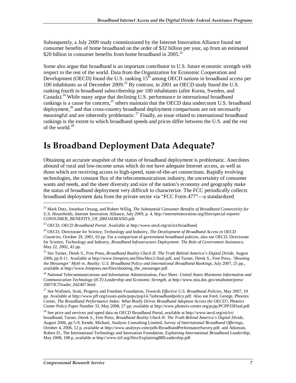Subsequently, a July 2009 study commissioned by the Internet Innovation Alliance found net consumer benefits of home broadband on the order of \$32 billion per year, up from an estimated \$20 billion in consumer benefits from home broadband in 2005.<sup>22</sup>

Some also argue that broadband is an important contributor to U.S. future economic strength with respect to the rest of the world. Data from the Organization for Economic Cooperation and Development (OECD) found the U.S. ranking  $15<sup>th</sup>$  among OECD nations in broadband access per 100 inhabitants as of December 2009.<sup>23</sup> By contrast, in 2001 an OECD study found the U.S. ranking fourth in broadband subscribership per 100 inhabitants (after Korea, Sweden, and Canada).<sup>24</sup> While many argue that declining U.S. performance in international broadband rankings is a cause for concern,<sup>25</sup> others maintain that the OECD data undercount U.S. broadband deployment,<sup>26</sup> and that cross-country broadband deployment comparisons are not necessarily meaningful and are inherently problematic.27 Finally, an issue related to international broadband rankings is the extent to which broadband speeds and prices differ between the U.S. and the rest of the world. $^{28}$ 

### **Is Broadband Deployment Data Adequate?**

Obtaining an accurate snapshot of the status of broadband deployment is problematic. Anecdotes abound of rural and low-income areas which do not have adequate Internet access, as well as those which are receiving access to high-speed, state-of-the-art connections. Rapidly evolving technologies, the constant flux of the telecommunications industry, the uncertainty of consumer wants and needs, and the sheer diversity and size of the nation's economy and geography make the status of broadband deployment very difficult to characterize. The FCC periodically collects broadband deployment data from the private sector via "FCC Form 477"—a standardized

26 National Telecommunications and Information Administration, *Fact Sheet: United States Maintains Information and Communication Technology (ICT) Leadership and Economic Strength*, at http://www.ntia.doc.gov/ntiahome/press/ 2007/ICTleader\_042407.html.

27 See Wallsten, Scott, Progress and Freedom Foundation, *Towards Effective U.S. Broadband Policies*, May 2007, 19 pp. Available at http://www.pff.org/issues-pubs/pops/pop14.7usbroadbandpolicy.pdf. Also see Ford, George, Phoenix Center, *The Broadband Performance Index: What Really Drives Broadband Adoption Across the OECD?*, Phoenix Center Policy Paper Number 33, May 2008, 27 pp; available at http://www.phoenix-center.org/pcpp/PCPP33Final.pdf.

<sup>22</sup> Mark Dutz, Jonathan Orszag, and Robert Willig, *The Substantial Consumer Benefits of Broadband Connectivity for U.S. Households*, Internet Innovation Alliance, July 2009, p. 4, http://internetinnovation.org/files/special-reports/ CONSUMER\_BENEFITS\_OF\_BROADBAND.pdf.

<sup>23</sup> OECD, *OECD Broadband Portal*. Available at http://www.oecd.org/sti/ict/broadband.

<sup>24</sup> OECD, Directorate for Science, Technology and Industry, *The Development of Broadband Access in OECD Countries*, October 29, 2001, 63 pp. For a comparison of government broadband policies, also see OECD, Directorate for Science, Technology and Industry, *Broadband Infrastructure Deployment: The Role of Government Assistance*, May 22, 2002, 42 pp.

<sup>25</sup> See Turner, Derek S., Free Press, *Broadband Reality Check II: The Truth Behind America's Digital Divide*, August 2006, pp 8-11. Available at http://www.freepress.net/files/bbrc2-final.pdf; and Turner, Derek S., Free Press, *'Shooting the Messenger' Myth vs. Reality: U.S. Broadband Policy and International Broadband Rankings*, July 2007, 25 pp., available at http://www.freepress.net/files/shooting\_the\_messenger.pdf.

<sup>&</sup>lt;sup>28</sup> See price and services and speed data on OECD Broadband Portal, available at http://www.oecd.org/sti/ict/ broadband; Turner, Derek S., Free Press, *Broadband Reality Check II: The Truth Behind America's Digital Divide*, August 2006, pp 5-9; Kende, Michael, Analysis Consulting Limited, *Survey of International Broadband Offerings*, October 4, 2006, 12 p, available at http://www.analysys.com/pdfs/BroadbandPerformanceSurvey.pdf; and Atkinson, Robert D., The International Technology and Innovation Foundation, *Explaining International Broadband Leadership*, May 2008, 108 p, available at http://www.itif.org/files/ExplainingBBLeadership.pdf.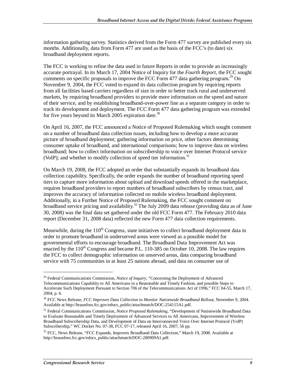information gathering survey. Statistics derived from the Form 477 survey are published every six months. Additionally, data from Form 477 are used as the basis of the FCC's (to date) six broadband deployment reports.

The FCC is working to refine the data used in future Reports in order to provide an increasingly accurate portrayal. In its March 17, 2004 Notice of Inquiry for the *Fourth Report*, the FCC sought comments on specific proposals to improve the FCC Form 477 data gathering program.<sup>29</sup> On November 9, 2004, the FCC voted to expand its data collection program by requiring reports from all facilities based carriers regardless of size in order to better track rural and underserved markets, by requiring broadband providers to provide more information on the speed and nature of their service, and by establishing broadband-over-power line as a separate category in order to track its development and deployment. The FCC Form 477 data gathering program was extended for five years beyond its March 2005 expiration date.<sup>30</sup>

On April 16, 2007, the FCC announced a Notice of Proposed Rulemaking which sought comment on a number of broadband data collection issues, including how to develop a more accurate picture of broadband deployment; gathering information on price, other factors determining consumer uptake of broadband, and international comparisons; how to improve data on wireless broadband; how to collect information on subscribership to voice over Internet Protocol service (VoIP); and whether to modify collection of speed tier information.<sup>31</sup>

On March 19, 2008, the FCC adopted an order that substantially expands its broadband data collection capability. Specifically, the order expands the number of broadband reporting speed tiers to capture more information about upload and download speeds offered in the marketplace, requires broadband providers to report numbers of broadband subscribers by census tract, and improves the accuracy of information collected on mobile wireless broadband deployment. Additionally, in a Further Notice of Proposed Rulemaking, the FCC sought comment on broadband service pricing and availability.<sup>32</sup> The July 2009 data release (providing data as of June 30, 2008) was the final data set gathered under the old FCC Form 477. The February 2010 data report (December 31, 2008 data) reflected the new Form 477 data collection requirements.

Meanwhile, during the  $110<sup>th</sup>$  Congress, state initiatives to collect broadband deployment data in order to promote broadband in underserved areas were viewed as a possible model for governmental efforts to encourage broadband. The Broadband Data Improvement Act was enacted by the  $110^{th}$  Congress and became P.L. 110-385 on October 10, 2008. The law requires the FCC to collect demographic information on unserved areas, data comparing broadband service with 75 communities in at least 25 nations abroad, and data on consumer use of

<sup>29</sup> Federal Communications Commission, *Notice of Inquiry*, "Concerning the Deployment of Advanced Telecommunications Capability to All Americans in a Reasonable and Timely Fashion, and possible Steps to Accelerate Such Deployment Pursuant to Section 706 of the Telecommunications Act of 1996," FCC 04-55, March 17, 2004, p. 6.

<sup>30</sup> FCC News Release, *FCC Improves Data Collection to Monitor Nationwide Broadband Rollout*, November 9, 2004. Available at http://hraunfoss.fcc.gov/edocs\_public/attachmatch/DOC-254115A1.pdf.

<sup>&</sup>lt;sup>31</sup> Federal Communications Commission, *Notice Proposed Rulemaking*, "Development of Nationwide Broadband Data to Evaluate Reasonable and Timely Deployment of Advanced Services to All Americans, Improvement of Wireless Broadband Subscribership Data, and Development of Data on Interconnected Voice Over Internet Protocol (VoIP) Subscribership," WC Docket No. 07-38, FCC 07-17, released April 16, 2007, 56 pp.

<sup>&</sup>lt;sup>32</sup> FCC, News Release, "FCC Expands, Improves Broadband Data Collection," March 19, 2008. Available at http://hraunfoss.fcc.gov/edocs\_public/attachmatch/DOC-280909A1.pdf.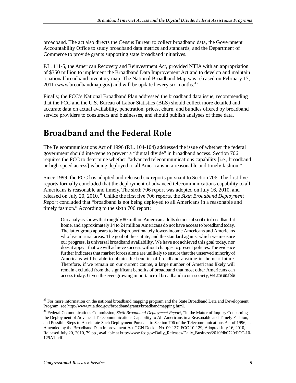broadband. The act also directs the Census Bureau to collect broadband data, the Government Accountability Office to study broadband data metrics and standards, and the Department of Commerce to provide grants supporting state broadband initiatives.

P.L. 111-5, the American Recovery and Reinvestment Act, provided NTIA with an appropriation of \$350 million to implement the Broadband Data Improvement Act and to develop and maintain a national broadband inventory map. The National Broadband Map was released on February 17, 2011 (www.broadbandmap.gov) and will be updated every six months.<sup>33</sup>

Finally, the FCC's National Broadband Plan addressed the broadband data issue, recommending that the FCC and the U.S. Bureau of Labor Statistics (BLS) should collect more detailed and accurate data on actual availability, penetration, prices, churn, and bundles offered by broadband service providers to consumers and businesses, and should publish analyses of these data.

### **Broadband and the Federal Role**

The Telecommunications Act of 1996 (P.L. 104-104) addressed the issue of whether the federal government should intervene to prevent a "digital divide" in broadband access. Section 706 requires the FCC to determine whether "advanced telecommunications capability [i.e., broadband or high-speed access] is being deployed to all Americans in a reasonable and timely fashion."

Since 1999, the FCC has adopted and released six reports pursuant to Section 706. The first five reports formally concluded that the deployment of advanced telecommunications capability to all Americans is reasonable and timely. The sixth 706 report was adopted on July 16, 2010, and released on July 20, 2010.<sup>34</sup> Unlike the first five 706 reports, the *Sixth Broadband Deployment Report* concluded that "broadband is not being deployed to all Americans in a reasonable and timely fashion." According to the sixth 706 report:

Our analysis shows that roughly 80 million American adults do not subscribe to broadband at home, and approximately 14 to 24 million Americans do not have access to broadband today. The latter group appears to be disproportionately lower-income Americans and Americans who live in rural areas. The goal of the statute, and the standard against which we measure our progress, is universal broadband availability. We have not achieved this goal today, nor does it appear that we will achieve success without changes to present policies. The evidence further indicates that market forces alone are unlikely to ensure that the unserved minority of Americans will be able to obtain the benefits of broadband anytime in the near future. Therefore, if we remain on our current course, a large number of Americans likely will remain excluded from the significant benefits of broadband that most other Americans can access today. Given the ever-growing importance of broadband to our society, we are unable

<sup>&</sup>lt;sup>33</sup> For more information on the national broadband mapping program and the State Broadband Data and Development Program, see http://www.ntia.doc.gov/broadbandgrants/broadbandmapping.html.

<sup>34</sup> Federal Communications Commission, *Sixth Broadband Deployment Report*, "In the Matter of Inquiry Concerning the Deployment of Advanced Telecommunications Capability to All Americans in a Reasonable and Timely Fashion, and Possible Steps to Accelerate Such Deployment Pursuant to Section 706 of the Telecommunications Act of 1996, as Amended by the Broadband Data Improvement Act," GN Docket No. 09-137, FCC 10-129, Adopted July 16, 2010, Released July 20, 2010, 79 pp., available at http://www.fcc.gov/Daily\_Releases/Daily\_Business/2010/db0720/FCC-10- 129A1.pdf.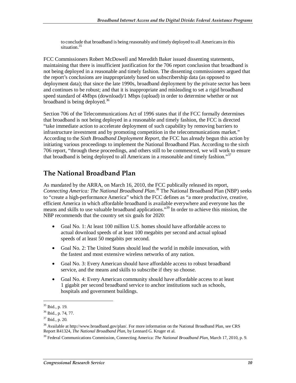to conclude that broadband is being reasonably and timely deployed to all Americans in this situation.<sup>35</sup>

FCC Commissioners Robert McDowell and Meredith Baker issued dissenting statements, maintaining that there is insufficient justification for the 706 report conclusion that broadband is not being deployed in a reasonable and timely fashion. The dissenting commissioners argued that the report's conclusions are inappropriately based on subscribership data (as opposed to deployment data); that since the late 1990s, broadband deployment by the private sector has been and continues to be robust; and that it is inappropriate and misleading to set a rigid broadband speed standard of 4Mbps (download)/1 Mbps (upload) in order to determine whether or not broadband is being deployed.<sup>36</sup>

Section 706 of the Telecommunications Act of 1996 states that if the FCC formally determines that broadband is not being deployed in a reasonable and timely fashion, the FCC is directed "take immediate action to accelerate deployment of such capability by removing barriers to infrastructure investment and by promoting competition in the telecommunications market." According to the *Sixth Broadband Deployment Report*, the FCC has already begun this action by initiating various proceedings to implement the National Broadband Plan. According to the sixth 706 report, "through these proceedings, and others still to be commenced, we will work to ensure that broadband is being deployed to all Americans in a reasonable and timely fashion."<sup>37</sup>

#### **The National Broadband Plan**

As mandated by the ARRA, on March 16, 2010, the FCC publically released its report, *Connecting America: The National Broadband Plan*. 38 The National Broadband Plan (NBP) seeks to "create a high-performance America" which the FCC defines as "a more productive, creative, efficient America in which affordable broadband is available everywhere and everyone has the means and skills to use valuable broadband applications."<sup>39</sup> In order to achieve this mission, the NBP recommends that the country set six goals for 2020:

- Goal No. 1: At least 100 million U.S. homes should have affordable access to actual download speeds of at least 100 megabits per second and actual upload speeds of at least 50 megabits per second.
- Goal No. 2: The United States should lead the world in mobile innovation, with the fastest and most extensive wireless networks of any nation.
- Goal No. 3: Every American should have affordable access to robust broadband service, and the means and skills to subscribe if they so choose.
- Goal No. 4: Every American community should have affordable access to at least 1 gigabit per second broadband service to anchor institutions such as schools, hospitals and government buildings.

<sup>35</sup> Ibid., p. 19.

<sup>36</sup> Ibid., p. 74, 77.

 $37$  Ibid., p. 20.

<sup>38</sup> Available at http://www.broadband.gov/plan/. For more information on the National Broadband Plan, see CRS Report R41324, *The National Broadband Plan*, by Lennard G. Kruger et al.

<sup>39</sup> Federal Communications Commission, Connecting America: *The National Broadband Plan*, March 17, 2010, p. 9.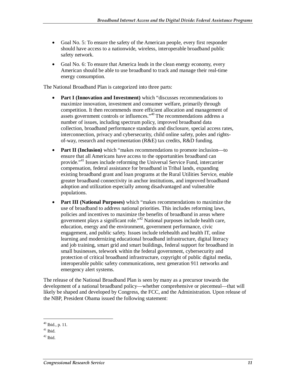- Goal No. 5: To ensure the safety of the American people, every first responder should have access to a nationwide, wireless, interoperable broadband public safety network.
- Goal No. 6: To ensure that America leads in the clean energy economy, every American should be able to use broadband to track and manage their real-time energy consumption.

The National Broadband Plan is categorized into three parts:

- **Part I (Innovation and Investment)** which "discusses recommendations to maximize innovation, investment and consumer welfare, primarily through competition. It then recommends more efficient allocation and management of assets government controls or influences."<sup>40</sup> The recommendations address a number of issues, including spectrum policy, improved broadband data collection, broadband performance standards and disclosure, special access rates, interconnection, privacy and cybersecurity, child online safety, poles and rightsof-way, research and experimentation (R&E) tax credits, R&D funding.
- **Part II (Inclusion)** which "makes recommendations to promote inclusion—to ensure that all Americans have access to the opportunities broadband can provide."41 Issues include reforming the Universal Service Fund, intercarrier compensation, federal assistance for broadband in Tribal lands, expanding existing broadband grant and loan programs at the Rural Utilities Service, enable greater broadband connectivity in anchor institutions, and improved broadband adoption and utilization especially among disadvantaged and vulnerable populations.
- **Part III (National Purposes)** which "makes recommendations to maximize the use of broadband to address national priorities. This includes reforming laws, policies and incentives to maximize the benefits of broadband in areas where government plays a significant role."<sup>42</sup> National purposes include health care, education, energy and the environment, government performance, civic engagement, and public safety. Issues include telehealth and health IT, online learning and modernizing educational broadband infrastructure, digital literacy and job training, smart grid and smart buildings, federal support for broadband in small businesses, telework within the federal government, cybersecurity and protection of critical broadband infrastructure, copyright of public digital media, interoperable public safety communications, next generation 911 networks and emergency alert systems.

The release of the National Broadband Plan is seen by many as a precursor towards the development of a national broadband policy—whether comprehensive or piecemeal—that will likely be shaped and developed by Congress, the FCC, and the Administration. Upon release of the NBP, President Obama issued the following statement:

<sup>40</sup> Ibid., p. 11.

 $41$  Ibid.

 $42$  Ibid.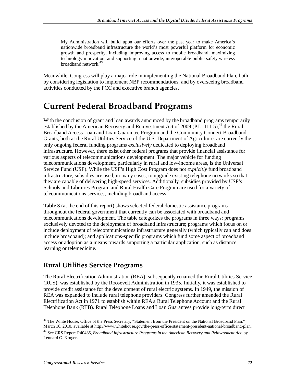My Administration will build upon our efforts over the past year to make America's nationwide broadband infrastructure the world's most powerful platform for economic growth and prosperity, including improving access to mobile broadband, maximizing technology innovation, and supporting a nationwide, interoperable public safety wireless broadband network.<sup>43</sup>

Meanwhile, Congress will play a major role in implementing the National Broadband Plan, both by considering legislation to implement NBP recommendations, and by overseeing broadband activities conducted by the FCC and executive branch agencies.

### **Current Federal Broadband Programs**

With the conclusion of grant and loan awards announced by the broadband programs temporarily established by the American Recovery and Reinvestment Act of 2009 (P.L. 111-5), $^{44}$  the Rural Broadband Access Loan and Loan Guarantee Program and the Community Connect Broadband Grants, both at the Rural Utilities Service of the U.S. Department of Agriculture, are currently the only ongoing federal funding programs *exclusively* dedicated to deploying broadband infrastructure. However, there exist other federal programs that provide financial assistance for various aspects of telecommunications development. The major vehicle for funding telecommunications development, particularly in rural and low-income areas, is the Universal Service Fund (USF). While the USF's High Cost Program does not *explicitly* fund broadband infrastructure, subsidies are used, in many cases, to upgrade existing telephone networks so that they are capable of delivering high-speed services. Additionally, subsidies provided by USF's Schools and Libraries Program and Rural Health Care Program are used for a variety of telecommunications services, including broadband access.

**Table 3** (at the end of this report) shows selected federal domestic assistance programs throughout the federal government that currently can be associated with broadband and telecommunications development. The table categorizes the programs in three ways: programs exclusively devoted to the deployment of broadband infrastructure; programs which focus on or include deployment of telecommunications infrastructure generally (which typically can and does include broadband); and applications-specific programs which fund some aspect of broadband access or adoption as a means towards supporting a particular application, such as distance learning or telemedicine.

#### **Rural Utilities Service Programs**

The Rural Electrification Administration (REA), subsequently renamed the Rural Utilities Service (RUS), was established by the Roosevelt Administration in 1935. Initially, it was established to provide credit assistance for the development of rural electric systems. In 1949, the mission of REA was expanded to include rural telephone providers. Congress further amended the Rural Electrification Act in 1971 to establish within REA a Rural Telephone Account and the Rural Telephone Bank (RTB). Rural Telephone Loans and Loan Guarantees provide long-term direct

<sup>&</sup>lt;sup>43</sup> The White House, Office of the Press Secretary, "Statement from the President on the National Broadband Plan," March 16, 2010, available at http://www.whitehouse.gov/the-press-office/statement-president-national-broadband-plan.

<sup>44</sup> See CRS Report R40436, *Broadband Infrastructure Programs in the American Recovery and Reinvestment Act*, by Lennard G. Kruger.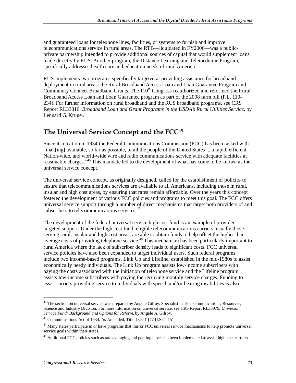and guaranteed loans for telephone lines, facilities, or systems to furnish and improve telecommunications service in rural areas. The RTB—liquidated in FY2006—was a publicprivate partnership intended to provide additional sources of capital that would supplement loans made directly by RUS. Another program, the Distance Learning and Telemedicine Program, specifically addresses health care and education needs of rural America.

RUS implements two programs specifically targeted at providing assistance for broadband deployment in rural areas: the Rural Broadband Access Loan and Loan Guarantee Program and Community Connect Broadband Grants. The  $110<sup>th</sup>$  Congress reauthorized and reformed the Rural Broadband Access Loan and Loan Guarantee program as part of the 2008 farm bill (P.L. 110- 234). For further information on rural broadband and the RUS broadband programs, see CRS Report RL33816, *Broadband Loan and Grant Programs in the USDA's Rural Utilities Service*, by Lennard G. Kruger.

#### **The Universal Service Concept and the FCC45**

Since its creation in 1934 the Federal Communications Commission (FCC) has been tasked with "mak[ing] available, so far as possible, to all the people of the United States ... a rapid, efficient, Nation-wide, and world-wide wire and radio communications service with adequate facilities at reasonable charges."46 This mandate led to the development of what has come to be known as the universal service concept.

The universal service concept, as originally designed, called for the establishment of policies to ensure that telecommunications services are available to all Americans, including those in rural, insular and high cost areas, by ensuring that rates remain affordable. Over the years this concept fostered the development of various FCC policies and programs to meet this goal. The FCC offers universal service support through a number of direct mechanisms that target both providers of and subscribers to telecommunications services.<sup>47</sup>

The development of the federal universal service high cost fund is an example of providertargeted support. Under the high cost fund, eligible telecommunications carriers, usually those serving rural, insular and high cost areas, are able to obtain funds to help offset the higher than average costs of providing telephone service.<sup>48</sup> This mechanism has been particularly important to rural America where the lack of subscriber density leads to significant costs. FCC universal service policies have also been expanded to target individual users. Such federal programs include two income-based programs, Link Up and Lifeline, established in the mid-1980s to assist economically needy individuals. The Link Up program assists low-income subscribers with paying the costs associated with the initiation of telephone service and the Lifeline program assists low-income subscribers with paying the recurring monthly service charges. Funding to assist carriers providing service to individuals with speech and/or hearing disabilities is also

<sup>&</sup>lt;sup>45</sup> The section on universal service was prepared by Angele Gilroy, Specialist in Telecommunications, Resources, Science and Industry Division. For more information on universal service, see CRS Report RL33979, *Universal Service Fund: Background and Options for Reform*, by Angele A. Gilroy.

<sup>&</sup>lt;sup>46</sup> Communications Act of 1934, As Amended, Title I sec.1 [47 U.S.C. 151].

<sup>&</sup>lt;sup>47</sup> Many states participate in or have programs that mirror FCC universal service mechanisms to help promote universal service goals within their states.

<sup>&</sup>lt;sup>48</sup> Additional FCC policies such as rate averaging and pooling have also been implemented to assist high cost carriers.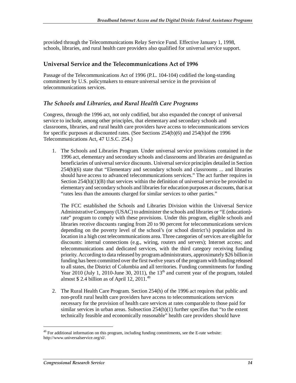provided through the Telecommunications Relay Service Fund. Effective January 1, 1998, schools, libraries, and rural health care providers also qualified for universal service support.

#### **Universal Service and the Telecommunications Act of 1996**

Passage of the Telecommunications Act of 1996 (P.L. 104-104) codified the long-standing commitment by U.S. policymakers to ensure universal service in the provision of telecommunications services.

#### *The Schools and Libraries, and Rural Health Care Programs*

Congress, through the 1996 act, not only codified, but also expanded the concept of universal service to include, among other principles, that elementary and secondary schools and classrooms, libraries, and rural health care providers have access to telecommunications services for specific purposes at discounted rates. (See Sections 254(b)(6) and 254(h)of the 1996 Telecommunications Act, 47 U.S.C. 254.)

1. The Schools and Libraries Program. Under universal service provisions contained in the 1996 act, elementary and secondary schools and classrooms and libraries are designated as beneficiaries of universal service discounts. Universal service principles detailed in Section 254(b)(6) state that "Elementary and secondary schools and classrooms ... and libraries should have access to advanced telecommunications services." The act further requires in Section 254(h)(1)(B) that services within the definition of universal service be provided to elementary and secondary schools and libraries for education purposes at discounts, that is at "rates less than the amounts charged for similar services to other parties."

The FCC established the Schools and Libraries Division within the Universal Service Administrative Company (USAC) to administer the schools and libraries or "E (education) rate" program to comply with these provisions. Under this program, eligible schools and libraries receive discounts ranging from 20 to 90 percent for telecommunications services depending on the poverty level of the school's (or school district's) population and its location in a high cost telecommunications area. Three categories of services are eligible for discounts: internal connections (e.g., wiring, routers and servers); Internet access; and telecommunications and dedicated services, with the third category receiving funding priority. According to data released by program administrators, approximately \$26 billion in funding has been committed over the first twelve years of the program with funding released to all states, the District of Columbia and all territories. Funding commitments for funding Year 2010 (July 1, 2010-June 30, 2011), the  $13<sup>th</sup>$  and current year of the program, totaled almost  $$ 2.4$  billion as of April 12, 2011.<sup>49</sup>

2. The Rural Health Care Program. Section 254(h) of the 1996 act requires that public and non-profit rural health care providers have access to telecommunications services necessary for the provision of health care services at rates comparable to those paid for similar services in urban areas. Subsection 254(h)(1) further specifies that "to the extent technically feasible and economically reasonable" health care providers should have

 $49$  For additional information on this program, including funding commitments, see the E-rate website: http://www.universalservice.org/sl/.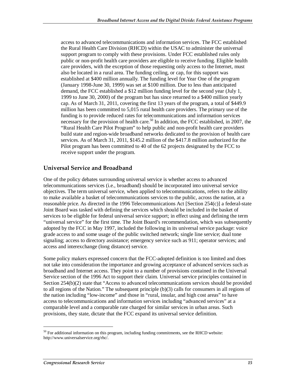access to advanced telecommunications and information services. The FCC established the Rural Health Care Division (RHCD) within the USAC to administer the universal support program to comply with these provisions. Under FCC established rules only public or non-profit health care providers are eligible to receive funding. Eligible health care providers, with the exception of those requesting only access to the Internet, must also be located in a rural area. The funding ceiling, or cap, for this support was established at \$400 million annually. The funding level for Year One of the program (January 1998-June 30, 1999) was set at \$100 million. Due to less than anticipated demand, the FCC established a \$12 million funding level for the second year (July 1, 1999 to June 30, 2000) of the program but has since returned to a \$400 million yearly cap. As of March 31, 2011, covering the first 13 years of the program, a total of \$449.9 million has been committed to 5,015 rural health care providers. The primary use of the funding is to provide reduced rates for telecommunications and information services necessary for the provision of health care.<sup>50</sup> In addition, the FCC established, in 2007, the "Rural Health Care Pilot Program" to help public and non-profit health care providers build state and region-wide broadband networks dedicated to the provision of health care services. As of March 31, 2011, \$145.2 million of the \$417.8 million authorized for the Pilot program has been committed to 40 of the 62 projects designated by the FCC to receive support under the program.

#### **Universal Service and Broadband**

One of the policy debates surrounding universal service is whether access to advanced telecommunications services (i.e., broadband) should be incorporated into universal service objectives. The term universal service, when applied to telecommunications, refers to the ability to make available a basket of telecommunications services to the public, across the nation, at a reasonable price. As directed in the 1996 Telecommunications Act [Section 254(c)] a federal-state Joint Board was tasked with defining the services which should be included in the basket of services to be eligible for federal universal service support; in effect using and defining the term "universal service" for the first time. The Joint Board's recommendation, which was subsequently adopted by the FCC in May 1997, included the following in its universal service package: voice grade access to and some usage of the public switched network; single line service; dual tone signaling; access to directory assistance; emergency service such as 911; operator services; and access and interexchange (long distance) service.

Some policy makers expressed concern that the FCC-adopted definition is too limited and does not take into consideration the importance and growing acceptance of advanced services such as broadband and Internet access. They point to a number of provisions contained in the Universal Service section of the 1996 Act to support their claim. Universal service principles contained in Section 254(b)(2) state that "Access to advanced telecommunications services should be provided to all regions of the Nation." The subsequent principle (b)(3) calls for consumers in all regions of the nation including "low-income" and those in "rural, insular, and high cost areas" to have access to telecommunications and information services including "advanced services" at a comparable level and a comparable rate charged for similar services in urban areas. Such provisions, they state, dictate that the FCC expand its universal service definition.

<sup>&</sup>lt;sup>50</sup> For additional information on this program, including funding commitments, see the RHCD website: http://www.universalservice.org/rhc/.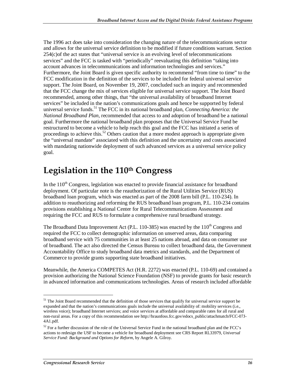The 1996 act does take into consideration the changing nature of the telecommunications sector and allows for the universal service definition to be modified if future conditions warrant. Section 254(c)of the act states that "universal service is an evolving level of telecommunications services" and the FCC is tasked with "periodically" reevaluating this definition "taking into account advances in telecommunications and information technologies and services." Furthermore, the Joint Board is given specific authority to recommend "from time to time" to the FCC modification in the definition of the services to be included for federal universal service support. The Joint Board, on November 19, 2007, concluded such an inquiry and recommended that the FCC change the mix of services eligible for universal service support. The Joint Board recommended, among other things, that "the universal availability of broadband Internet services" be included in the nation's communications goals and hence be supported by federal universal service funds.<sup>51</sup> The FCC in its national broadband plan, *Connecting America: the National Broadband Plan,* recommended that access to and adoption of broadband be a national goal. Furthermore the national broadband plan proposes that the Universal Service Fund be restructured to become a vehicle to help reach this goal and the FCC has initiated a series of proceedings to achieve this.<sup>52</sup> Others caution that a more modest approach is appropriate given the "universal mandate" associated with this definition and the uncertainty and costs associated with mandating nationwide deployment of such advanced services as a universal service policy goal.

### Legislation in the 110<sup>th</sup> Congress

In the  $110<sup>th</sup>$  Congress, legislation was enacted to provide financial assistance for broadband deployment. Of particular note is the reauthorization of the Rural Utilities Service (RUS) broadband loan program, which was enacted as part of the 2008 farm bill (P.L. 110-234). In addition to reauthorizing and reforming the RUS broadband loan program, P.L. 110-234 contains provisions establishing a National Center for Rural Telecommunications Assessment and requiring the FCC and RUS to formulate a comprehensive rural broadband strategy.

The Broadband Data Improvement Act (P.L. 110-385) was enacted by the 110<sup>th</sup> Congress and required the FCC to collect demographic information on unserved areas, data comparing broadband service with 75 communities in at least 25 nations abroad, and data on consumer use of broadband. The act also directed the Census Bureau to collect broadband data, the Government Accountability Office to study broadband data metrics and standards, and the Department of Commerce to provide grants supporting state broadband initiatives.

Meanwhile, the America COMPETES Act (H.R. 2272) was enacted (P.L. 110-69) and contained a provision authorizing the National Science Foundation (NSF) to provide grants for basic research in advanced information and communications technologies. Areas of research included affordable

<sup>&</sup>lt;sup>51</sup> The Joint Board recommended that the definition of those services that qualify for universal service support be expanded and that the nation's communications goals include the universal availability of: mobility services (i.e., wireless voice); broadband Internet services; and voice services at affordable and comparable rates for all rural and non-rural areas. For a copy of this recommendation see http://hraunfoss.fcc.gov/edocs\_public/attachmatch/FCC-07J-4A1.pdf.

 $52$  For a further discussion of the role of the Universal Service Fund in the national broadband plan and the FCC's actions to redesign the USF to become a vehicle for broadband deployment see CRS Report RL33979, *Universal Service Fund: Background and Options for Reform*, by Angele A. Gilroy.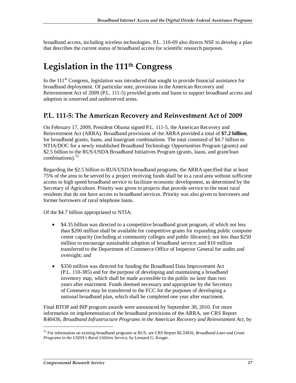broadband access, including wireless technologies. P.L. 110-69 also directs NSF to develop a plan that describes the current status of broadband access for scientific research purposes.

### **Legislation in the 111th Congress**

In the  $111<sup>th</sup>$  Congress, legislation was introduced that sought to provide financial assistance for broadband deployment. Of particular note, provisions in the American Recovery and Reinvestment Act of 2009 (P.L. 111-5) provided grants and loans to support broadband access and adoption in unserved and underserved areas.

#### **P.L. 111-5: The American Recovery and Reinvestment Act of 2009**

On February 17, 2009, President Obama signed P.L. 111-5, the American Recovery and Reinvestment Act (ARRA). Broadband provisions of the ARRA provided a total of **\$7.2 billion**, for broadband grants, loans, and loan/grant combinations. The total consisted of \$4.7 billion to NTIA/DOC for a newly established Broadband Technology Opportunities Program (grants) and \$2.5 billion to the RUS/USDA Broadband Initiatives Program (grants, loans, and grant/loan combinations). $53$ 

Regarding the \$2.5 billion to RUS/USDA broadband programs, the ARRA specified that at least 75% of the area to be served by a project receiving funds shall be in a rural area without sufficient access to high speed broadband service to facilitate economic development, as determined by the Secretary of Agriculture. Priority was given to projects that provide service to the most rural residents that do not have access to broadband services. Priority was also given to borrowers and former borrowers of rural telephone loans.

Of the \$4.7 billion appropriated to NTIA:

- \$4.35 billion was directed to a competitive broadband grant program, of which not less than \$200 million shall be available for competitive grants for expanding public computer center capacity (including at community colleges and public libraries); not less than \$250 million to encourage sustainable adoption of broadband service; and \$10 million transferred to the Department of Commerce Office of Inspector General for audits and oversight; and
- \$350 million was directed for funding the Broadband Data Improvement Act (P.L. 110-385) and for the purpose of developing and maintaining a broadband inventory map, which shall be made accessible to the public no later than two years after enactment. Funds deemed necessary and appropriate by the Secretary of Commerce may be transferred to the FCC for the purposes of developing a national broadband plan, which shall be completed one year after enactment.

Final BTOP and BIP program awards were announced by September 30, 2010. For more information on implementation of the broadband provisions of the ARRA, see CRS Report R40436, *Broadband Infrastructure Programs in the American Recovery and Reinvestment Act*, by

<sup>53</sup> For information on existing broadband programs at RUS, see CRS Report RL33816, *Broadband Loan and Grant Programs in the USDA's Rural Utilities Service*, by Lennard G. Kruger.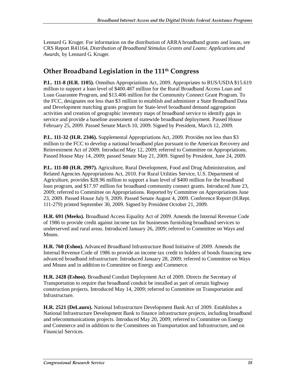Lennard G. Kruger. For information on the distribution of ARRA broadband grants and loans, see CRS Report R41164, *Distribution of Broadband Stimulus Grants and Loans: Applications and Awards*, by Lennard G. Kruger.

#### **Other Broadband Legislation in the 111th Congress**

**P.L. 111-8 (H.R. 1105).** Omnibus Appropriations Act, 2009. Appropriates to RUS/USDA \$15.619 million to support a loan level of \$400.487 million for the Rural Broadband Access Loan and Loan Guarantee Program, and \$13.406 million for the Community Connect Grant Program. To the FCC, designates not less than \$3 million to establish and administer a State Broadband Data and Development matching grants program for State-level broadband demand aggregation activities and creation of geographic inventory maps of broadband service to identify gaps in service and provide a baseline assessment of statewide broadband deployment. Passed House February 25, 2009. Passed Senate March 10, 2009. Signed by President, March 12, 2009.

**P.L. 111-32 (H.R. 2346).** Supplemental Appropriations Act, 2009. Provides not less than \$3 million to the FCC to develop a national broadband plan pursuant to the American Recovery and Reinvestment Act of 2009. Introduced May 12, 2009; referred to Committee on Appropriations. Passed House May 14, 2009; passed Senate May 21, 2009. Signed by President, June 24, 2009.

**P.L. 111-80 (H.R. 2997).** Agriculture, Rural Development, Food and Drug Administration, and Related Agencies Appropriations Act, 2010. For Rural Utilities Service, U.S. Department of Agriculture, provides \$28.96 million to support a loan level of \$400 million for the broadband loan program, and \$17.97 million for broadband community connect grants. Introduced June 23, 2009; referred to Committee on Appropriations. Reported by Committee on Appropriations June 23, 2009. Passed House July 9, 2009. Passed Senate August 4, 2009. Conference Report (H.Rept. 111-279) printed September 30, 2009. Signed by President October 21, 2009.

**H.R. 691 (Meeks).** Broadband Access Equality Act of 2009. Amends the Internal Revenue Code of 1986 to provide credit against income tax for businesses furnishing broadband services to underserved and rural areas. Introduced January 26, 2009; referred to Committee on Ways and Means.

**H.R. 760 (Eshoo).** Advanced Broadband Infrastructure Bond Initiative of 2009. Amends the Internal Revenue Code of 1986 to provide an income tax credit to holders of bonds financing new advanced broadband infrastructure. Introduced January 28, 2009; referred to Committee on Ways and Means and in addition to Committee on Energy and Commerce.

**H.R. 2428 (Eshoo).** Broadband Conduit Deployment Act of 2009. Directs the Secretary of Transportation to require that broadband conduit be installed as part of certain highway construction projects. Introduced May 14, 2009; referred to Committee on Transportation and Infrastructure.

**H.R. 2521 (DeLauro).** National Infrastructure Development Bank Act of 2009. Establishes a National Infrastructure Development Bank to finance infrastructure projects, including broadband and telecommunications projects. Introduced May 20, 2009; referred to Committee on Energy and Commerce and in addition to the Committees on Transportation and Infrastructure, and on Financial Services.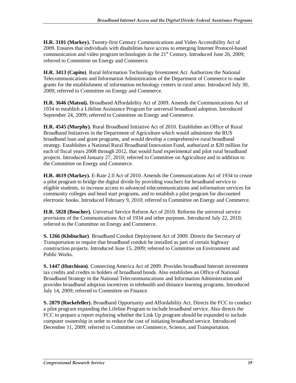**H.R. 3101 (Markey).** Twenty-first Century Communications and Video Accessibility Act of 2009. Ensures that individuals with disabilities have access to emerging Internet Protocol-based communication and video program technologies in the  $21<sup>st</sup>$  Century. Introduced June 26, 2009; referred to Committee on Energy and Commerce.

**H.R. 3413 (Capito)**. Rural Information Technology Investment Act. Authorizes the National Telecommunications and Information Administration of the Department of Commerce to make grants for the establishment of information technology centers in rural areas. Introduced July 30, 2009; referred to Committee on Energy and Commerce.

**H.R. 3646 (Matsui).** Broadband Affordability Act of 2009. Amends the Communications Act of 1934 to establish a Lifeline Assistance Program for universal broadband adoption. Introduced September 24, 2009; referred to Committee on Energy and Commerce.

**H.R. 4545 (Murphy).** Rural Broadband Initiative Act of 2010. Establishes an Office of Rural Broadband Initiatives in the Department of Agriculture which would administer the RUS broadband loan and grant programs, and would develop a comprehensive rural broadband strategy. Establishes a National Rural Broadband Innovation Fund, authorized at \$20 million for each of fiscal years 2008 through 2012, that would fund experimental and pilot rural broadband projects. Introduced January 27, 2010; referred to Committee on Agriculture and in addition to the Committee on Energy and Commerce.

**H.R. 4619 (Markey).** E-Rate 2.0 Act of 2010. Amends the Communications Act of 1934 to create a pilot program to bridge the digital divide by providing vouchers for broadband service to eligible students, to increase access to advanced telecommunications and information services for community colleges and head start programs, and to establish a pilot program for discounted electronic books. Introduced February 9, 2010; referred to Committee on Energy and Commerce.

**H.R. 5828 (Boucher).** Universal Service Reform Act of 2010. Reforms the universal service provisions of the Communications Act of 1934 and other purposes. Introduced July 22, 2010; referred to the Committee on Energy and Commerce.

**S. 1266 (Klobuchar)**. Broadband Conduit Deployment Act of 2009. Directs the Secretary of Transportation to require that broadband conduit be installed as part of certain highway construction projects. Introduced June 15, 2009; referred to Committee on Environment and Public Works.

**S. 1447 (Hutchison)**. Connecting America Act of 2009. Provides broadband Internet investment tax credits and credits to holders of broadband bonds. Also establishes an Office of National Broadband Strategy in the National Telecommunications and Information Administration and provides broadband adoption incentives in telehealth and distance learning programs. Introduced July 14, 2009; referred to Committee on Finance.

**S. 2879 (Rockefeller).** Broadband Opportunity and Affordability Act. Directs the FCC to conduct a pilot program expanding the Lifeline Program to include broadband service. Also directs the FCC to prepare a report exploring whether the Link Up program should be expanded to include computer ownership in order to reduce the cost of initiating broadband service. Introduced December 11, 2009; referred to Committee on Commerce, Science, and Transportation.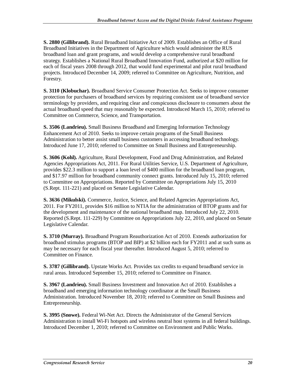**S. 2880 (Gillibrand).** Rural Broadband Initiative Act of 2009. Establishes an Office of Rural Broadband Initiatives in the Department of Agriculture which would administer the RUS broadband loan and grant programs, and would develop a comprehensive rural broadband strategy. Establishes a National Rural Broadband Innovation Fund, authorized at \$20 million for each of fiscal years 2008 through 2012, that would fund experimental and pilot rural broadband projects. Introduced December 14, 2009; referred to Committee on Agriculture, Nutrition, and Forestry.

**S. 3110 (Klobuchar).** Broadband Service Consumer Protection Act. Seeks to improve consumer protection for purchasers of broadband services by requiring consistent use of broadband service terminology by providers, and requiring clear and conspicuous disclosure to consumers about the actual broadband speed that may reasonably be expected. Introduced March 15, 2010; referred to Committee on Commerce, Science, and Transportation.

**S. 3506 (Landrieu).** Small Business Broadband and Emerging Information Technology Enhancement Act of 2010. Seeks to improve certain programs of the Small Business Administration to better assist small business customers in accessing broadband technology. Introduced June 17, 2010; referred to Committee on Small Business and Entrepreneurship.

**S. 3606 (Kohl).** Agriculture, Rural Development, Food and Drug Administration, and Related Agencies Appropriations Act, 2011. For Rural Utilities Service, U.S. Department of Agriculture, provides \$22.3 million to support a loan level of \$400 million for the broadband loan program, and \$17.97 million for broadband community connect grants. Introduced July 15, 2010; referred to Committee on Appropriations. Reported by Committee on Appropriations July 15, 2010 (S.Rept. 111-221) and placed on Senate Legislative Calendar.

**S. 3636 (Mikulski).** Commerce, Justice, Science, and Related Agencies Appropriations Act, 2011. For FY2011, provides \$16 million to NTIA for the administration of BTOP grants and for the development and maintenance of the national broadband map. Introduced July 22, 2010. Reported (S.Rept. 111-229) by Committee on Appropriations July 22, 2010, and placed on Senate Legislative Calendar.

**S. 3710 (Murray).** Broadband Program Reauthorization Act of 2010. Extends authorization for broadband stimulus programs (BTOP and BIP) at \$2 billion each for FY2011 and at such sums as may be necessary for each fiscal year thereafter. Introduced August 5, 2010; referred to Committee on Finance.

**S. 3787 (Gillibrand).** Upstate Works Act. Provides tax credits to expand broadband service in rural areas. Introduced September 15, 2010; referred to Committee on Finance.

**S. 3967 (Landrieu).** Small Business Investment and Innovation Act of 2010. Establishes a broadband and emerging information technology coordinator at the Small Business Administration. Introduced November 18, 2010; referred to Committee on Small Business and Entrepreneurship.

**S. 3995 (Snowe).** Federal Wi-Net Act. Directs the Administrator of the General Services Administration to install Wi-Fi hotspots and wireless neutral host systems in all federal buildings. Introduced December 1, 2010; referred to Committee on Environment and Public Works.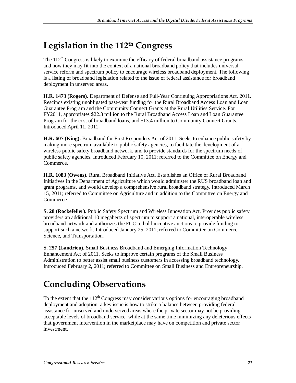## **Legislation in the 112th Congress**

The  $112<sup>th</sup>$  Congress is likely to examine the efficacy of federal broadband assistance programs and how they may fit into the context of a national broadband policy that includes universal service reform and spectrum policy to encourage wireless broadband deployment. The following is a listing of broadband legislation related to the issue of federal assistance for broadband deployment in unserved areas.

**H.R. 1473 (Rogers).** Department of Defense and Full-Year Continuing Appropriations Act, 2011. Rescinds existing unobligated past-year funding for the Rural Broadband Access Loan and Loan Guarantee Program and the Community Connect Grants at the Rural Utilities Service. For FY2011, appropriates \$22.3 million to the Rural Broadband Access Loan and Loan Guarantee Program for the cost of broadband loans, and \$13.4 million to Community Connect Grants. Introduced April 11, 2011.

**H.R. 607 (King).** Broadband for First Responders Act of 2011. Seeks to enhance public safety by making more spectrum available to public safety agencies, to facilitate the development of a wireless public safety broadband network, and to provide standards for the spectrum needs of public safety agencies. Introduced February 10, 2011; referred to the Committee on Energy and Commerce.

**H.R. 1083 (Owens).** Rural Broadband Initiative Act. Establishes an Office of Rural Broadband Initiatives in the Department of Agriculture which would administer the RUS broadband loan and grant programs, and would develop a comprehensive rural broadband strategy. Introduced March 15, 2011; referred to Committee on Agriculture and in addition to the Committee on Energy and Commerce.

**S. 28 (Rockefeller).** Public Safety Spectrum and Wireless Innovation Act. Provides public safety providers an additional 10 megahertz of spectrum to support a national, interoperable wireless broadband network and authorizes the FCC to hold incentive auctions to provide funding to support such a network. Introduced January 25, 2011; referred to Committee on Commerce, Science, and Transportation.

**S. 257 (Landrieu).** Small Business Broadband and Emerging Information Technology Enhancement Act of 2011. Seeks to improve certain programs of the Small Business Administration to better assist small business customers in accessing broadband technology. Introduced February 2, 2011; referred to Committee on Small Business and Entrepreneurship.

## **Concluding Observations**

To the extent that the  $112<sup>th</sup>$  Congress may consider various options for encouraging broadband deployment and adoption, a key issue is how to strike a balance between providing federal assistance for unserved and underserved areas where the private sector may not be providing acceptable levels of broadband service, while at the same time minimizing any deleterious effects that government intervention in the marketplace may have on competition and private sector investment.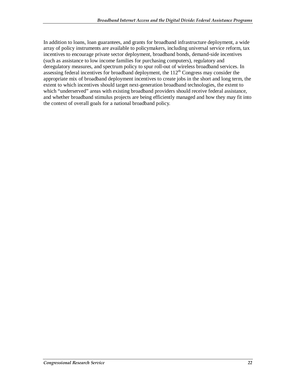In addition to loans, loan guarantees, and grants for broadband infrastructure deployment, a wide array of policy instruments are available to policymakers, including universal service reform, tax incentives to encourage private sector deployment, broadband bonds, demand-side incentives (such as assistance to low income families for purchasing computers), regulatory and deregulatory measures, and spectrum policy to spur roll-out of wireless broadband services. In assessing federal incentives for broadband deployment, the  $112<sup>th</sup>$  Congress may consider the appropriate mix of broadband deployment incentives to create jobs in the short and long term, the extent to which incentives should target next-generation broadband technologies, the extent to which "underserved" areas with existing broadband providers should receive federal assistance, and whether broadband stimulus projects are being efficiently managed and how they may fit into the context of overall goals for a national broadband policy.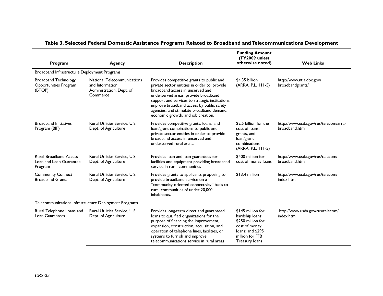| Program                                                             | Agency                                                                                 | <b>Description</b>                                                                                                                                                                                                                                                                                                                                       | <b>Funding Amount</b><br>(FY2009 unless<br>otherwise noted)                                                                         | <b>Web Links</b>                                       |  |
|---------------------------------------------------------------------|----------------------------------------------------------------------------------------|----------------------------------------------------------------------------------------------------------------------------------------------------------------------------------------------------------------------------------------------------------------------------------------------------------------------------------------------------------|-------------------------------------------------------------------------------------------------------------------------------------|--------------------------------------------------------|--|
| Broadband Infrastructure Deployment Programs                        |                                                                                        |                                                                                                                                                                                                                                                                                                                                                          |                                                                                                                                     |                                                        |  |
| <b>Broadband Technology</b><br>Opportunities Program<br>(BTOP)      | National Telecommunications<br>and Information<br>Administration, Dept. of<br>Commerce | Provides competitive grants to public and<br>private sector entities in order to: provide<br>broadband access in unserved and<br>underserved areas; provide broadband<br>support and services to strategic institutions;<br>improve broadband access by public safety<br>agencies; and stimulate broadband demand,<br>economic growth, and job creation. | \$4.35 billion<br>(ARRA, P.L. 111-5)                                                                                                | http://www.ntia.doc.gov/<br>broadbandgrants/           |  |
| <b>Broadband Initiatives</b><br>Program (BIP)                       | Rural Utilities Service, U.S.<br>Dept. of Agriculture                                  | Provides competitive grants, loans, and<br>loan/grant combinations to public and<br>private sector entities in order to provide<br>broadband access in unserved and<br>underserved rural areas.                                                                                                                                                          | \$2.5 billion for the<br>cost of loans.<br>grants, and<br>loan/grant<br>combinations<br>(ARRA, P.L. 111-5)                          | http://www.usda.gov/rus/telecom/arra-<br>broadband.htm |  |
| <b>Rural Broadband Access</b><br>Loan and Loan Guarantee<br>Program | Rural Utilities Service, U.S.<br>Dept. of Agriculture                                  | Provides loan and loan guarantees for<br>facilities and equipment providing broadband<br>service in rural communities                                                                                                                                                                                                                                    | \$400 million for<br>cost of money loans                                                                                            | http://www.usda.gov/rus/telecom/<br>broadband.htm      |  |
| <b>Community Connect</b><br><b>Broadband Grants</b>                 | Rural Utilities Service, U.S.<br>Dept. of Agriculture                                  | Provides grants to applicants proposing to<br>provide broadband service on a<br>"community-oriented connectivity" basis to<br>rural communities of under 20,000<br>inhabitants.                                                                                                                                                                          | \$13.4 million                                                                                                                      | http://www.usda.gov/rus/telecom/<br>index.htm          |  |
| Telecommunications Infrastructure Deployment Programs               |                                                                                        |                                                                                                                                                                                                                                                                                                                                                          |                                                                                                                                     |                                                        |  |
| Rural Telephone Loans and<br><b>Loan Guarantees</b>                 | Rural Utilities Service, U.S.<br>Dept. of Agriculture                                  | Provides long-term direct and guaranteed<br>loans to qualified organizations for the<br>purpose of financing the improvement,<br>expansion, construction, acquisition, and<br>operation of telephone lines, facilities, or<br>systems to furnish and improve<br>telecommunications service in rural areas                                                | \$145 million for<br>hardship loans;<br>\$250 million for<br>cost of money<br>loans; and \$295<br>million for FFB<br>Treasury loans | http://www.usda.gov/rus/telecom/<br>index.htm          |  |

#### **Table 3. Selected Federal Domestic Assistance Programs Related to Broadband and Telecommunications Development**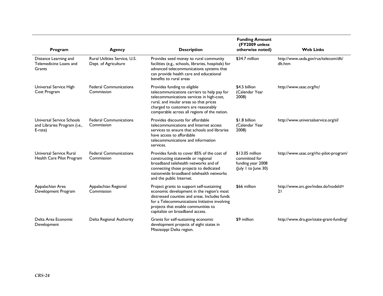| Program                                                              | Agency                                                | <b>Description</b>                                                                                                                                                                                                                                                 | <b>Funding Amount</b><br>(FY2009 unless<br>otherwise noted)                  | <b>Web Links</b>                                |
|----------------------------------------------------------------------|-------------------------------------------------------|--------------------------------------------------------------------------------------------------------------------------------------------------------------------------------------------------------------------------------------------------------------------|------------------------------------------------------------------------------|-------------------------------------------------|
| Distance Learning and<br>Telemedicine Loans and<br>Grants            | Rural Utilities Service, U.S.<br>Dept. of Agriculture | Provides seed money to rural community<br>facilities (e.g., schools, libraries, hospitals) for<br>advanced telecommunications systems that<br>can provide health care and educational<br>benefits to rural areas                                                   | \$34.7 million                                                               | http://www.usda.gov/rus/telecom/dlt/<br>dlt.htm |
| Universal Service High<br>Cost Program                               | <b>Federal Communications</b><br>Commission           | Provides funding to eligible<br>telecommunications carriers to help pay for<br>telecommunications services in high-cost,<br>rural, and insular areas so that prices<br>charged to customers are reasonably<br>comparable across all regions of the nation.         | \$4.5 billion<br>(Calendar Year<br>2008)                                     | http://www.usac.org/hc/                         |
| Universal Service Schools<br>and Libraries Program (i.e.,<br>E-rate) | <b>Federal Communications</b><br>Commission           | Provides discounts for affordable<br>telecommunications and Internet access<br>services to ensure that schools and libraries<br>have access to affordable<br>telecommunications and information<br>services.                                                       | \$1.8 billion<br>(Calendar Year<br>2008)                                     | http://www.universalservice.org/sl/             |
| Universal Service Rural<br>Health Care Pilot Program                 | <b>Federal Communications</b><br>Commission           | Provides funds to cover 85% of the cost of<br>constructing statewide or regional<br>broadband telehealth networks and of<br>connecting those projects to dedicated<br>nationwide broadband telehealth networks<br>and the public Internet.                         | \$13.05 million<br>committed for<br>funding year 2008<br>(July 1 to June 30) | http://www.usac.org/rhc-pilot-program/          |
| Appalachian Area<br>Development Program                              | Appalachian Regional<br>Commission                    | Project grants to support self-sustaining<br>economic development in the region's most<br>distressed counties and areas. Includes funds<br>for a Telecommunications Initiative involving<br>projects that enable communities to<br>capitalize on broadband access. | \$66 million                                                                 | http://www.arc.gov/index.do?nodeld=<br>21       |
| Delta Area Economic<br>Development                                   | Delta Regional Authority                              | Grants for self-sustaining economic<br>development projects of eight states in<br>Mississippi Delta region.                                                                                                                                                        | \$9 million                                                                  | http://www.dra.gov/state-grant-funding/         |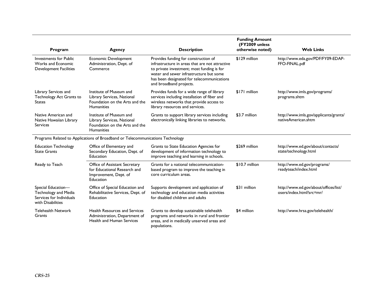| Program                                                                                            | Agency                                                                                                       | <b>Description</b>                                                                                                                                                                                                                                        | <b>Funding Amount</b><br>(FY2009 unless<br>otherwise noted) | <b>Web Links</b>                                                  |
|----------------------------------------------------------------------------------------------------|--------------------------------------------------------------------------------------------------------------|-----------------------------------------------------------------------------------------------------------------------------------------------------------------------------------------------------------------------------------------------------------|-------------------------------------------------------------|-------------------------------------------------------------------|
| Investments for Public<br>Works and Economic<br>Development Facilities                             | <b>Economic Development</b><br>Administration, Dept. of<br>Commerce                                          | Provides funding for construction of<br>infrastructure in areas that are not attractive<br>to private investment; most funding is for<br>water and sewer infrastructure but some<br>has been designated for telecommunications<br>and broadband projects. | \$129 million                                               | http://www.eda.gov/PDF/FY09-EDAP-<br>FFO-FINAL.pdf                |
| Library Services and<br>Technology Act Grants to<br><b>States</b>                                  | Institute of Museum and<br>Library Services, National<br>Foundation on the Arts and the<br>Humanities        | Provides funds for a wide range of library<br>services including installation of fiber and<br>wireless networks that provide access to<br>library resources and services.                                                                                 | \$171 million                                               | http://www.imls.gov/programs/<br>programs.shtm                    |
| Native American and<br>Native Hawaiian Library<br><b>Services</b>                                  | Institute of Museum and<br>Library Services, National<br>Foundation on the Arts and the<br><b>Humanities</b> | Grants to support library services including<br>electronically linking libraries to networks.                                                                                                                                                             | \$3.7 million                                               | http://www.imls.gov/applicants/grants/<br>nativeAmerican.shtm     |
|                                                                                                    | Programs Related to Applications of Broadband or Telecommunications Technology                               |                                                                                                                                                                                                                                                           |                                                             |                                                                   |
| <b>Education Technology</b><br><b>State Grants</b>                                                 | Office of Elementary and<br>Secondary Education, Dept. of<br>Education                                       | Grants to State Education Agencies for<br>development of information technology to<br>improve teaching and learning in schools.                                                                                                                           | \$269 million                                               | http://www.ed.gov/about/contacts/<br>state/technology.html        |
| Ready to Teach                                                                                     | Office of Assistant Secretary<br>for Educational Research and<br>Improvement, Dept. of<br>Education          | Grants for a national telecommunication-<br>based program to improve the teaching in<br>core curriculum areas.                                                                                                                                            | \$10.7 million                                              | http://www.ed.gov/programs/<br>readyteach/index.html              |
| Special Education-<br><b>Technology and Media</b><br>Services for Individuals<br>with Disabilities | Office of Special Education and<br>Rehabilitative Services, Dept. of<br>Education                            | Supports development and application of<br>technology and education media activities<br>for disabled children and adults                                                                                                                                  | \$31 million                                                | http://www.ed.gov/about/offices/list/<br>osers/index.html?src=mr/ |
| <b>Telehealth Network</b><br>Grants                                                                | <b>Health Resources and Services</b><br>Administration, Department of<br><b>Health and Human Services</b>    | Grants to develop sustainable telehealth<br>programs and networks in rural and frontier<br>areas, and in medically unserved areas and<br>populations.                                                                                                     | \$4 million                                                 | http://www.hrsa.gov/telehealth/                                   |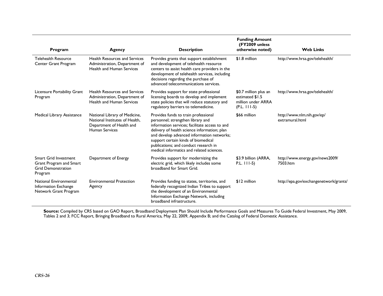| Program                                                                                  | Agency                                                                                                               | <b>Description</b>                                                                                                                                                                                                                                                                                                                                     | <b>Funding Amount</b><br>(FY2009 unless)<br>otherwise noted)                     | <b>Web Links</b>                              |
|------------------------------------------------------------------------------------------|----------------------------------------------------------------------------------------------------------------------|--------------------------------------------------------------------------------------------------------------------------------------------------------------------------------------------------------------------------------------------------------------------------------------------------------------------------------------------------------|----------------------------------------------------------------------------------|-----------------------------------------------|
| <b>Telehealth Resource</b><br>Center Grant Program                                       | <b>Health Resources and Services</b><br>Administration, Department of<br>Health and Human Services                   | Provides grants that support establishment<br>and development of telehealth resource<br>centers to assist health care providers in the<br>development of telehealth services, including<br>decisions regarding the purchase of<br>advanced telecommunications services.                                                                                | \$1.8 million                                                                    | http://www.hrsa.gov/telehealth/               |
| Licensure Portability Grant<br>Program                                                   | <b>Health Resources and Services</b><br>Administration, Department of<br><b>Health and Human Services</b>            | Provides support for state professional<br>licensing boards to develop and implement<br>state policies that will reduce statutory and<br>regulatory barriers to telemedicine.                                                                                                                                                                          | \$0.7 million plus an<br>estimated \$1.5<br>million under ARRA<br>$(P.L. 111-5)$ | http://www.hrsa.gov/telehealth/               |
| Medical Library Assistance                                                               | National Library of Medicine,<br>National Institutes of Health,<br>Department of Health and<br><b>Human Services</b> | Provides funds to train professional<br>personnel; strengthen library and<br>information services: facilitate access to and<br>delivery of health science information; plan<br>and develop advanced information networks;<br>support certain kinds of biomedical<br>publications; and conduct research in<br>medical informatics and related sciences. | \$66 million                                                                     | http://www.nlm.nih.gov/ep/<br>extramural.html |
| Smart Grid Investment<br>Grant Program and Smart<br><b>Grid Demonstration</b><br>Program | Department of Energy                                                                                                 | Provides support for modernizing the<br>electric grid, which likely includes some<br>broadband for Smart Grid.                                                                                                                                                                                                                                         | \$3.9 billion (ARRA,<br>$P.L.$ $ 11-5\rangle$                                    | http://www.energy.gov/news2009/<br>7503.htm   |
| National Environmental<br>Information Exchange<br>Network Grant Program                  | <b>Environmental Protection</b><br>Agency                                                                            | Provides funding to states, territories, and<br>federally recognized Indian Tribes to support<br>the development of an Environmental<br>Information Exchange Network, including<br>broadband infrastructure.                                                                                                                                           | \$12 million                                                                     | http://epa.gov/exchangenetwork/grants/        |

**Source:** Compiled by CRS based on GAO Report, Broadband Deployment Plan Should Include Performance Goals and Measures To Guide Federal Investment, May 2009, Tables 2 and 3; FCC Report, Bringing Broadband to Rural America, May 22, 2009, Appendix B; and the Catalog of Federal Domestic Assistance.